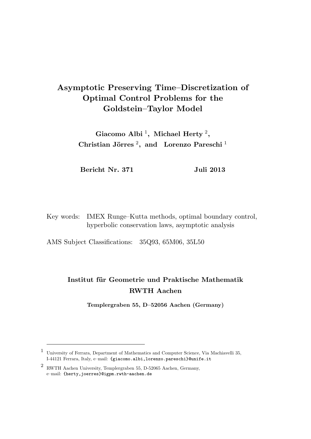# Asymptotic Preserving Time–Discretization of Optimal Control Problems for the Goldstein–Taylor Model

Giacomo Albi<sup>1</sup>, Michael Herty<sup>2</sup>, Christian Jörres<sup>2</sup>, and Lorenzo Pareschi<sup>1</sup>

Bericht Nr. 371 Juli 2013

Key words: IMEX Runge–Kutta methods, optimal boundary control, hyperbolic conservation laws, asymptotic analysis

AMS Subject Classifications: 35Q93, 65M06, 35L50

# Institut für Geometrie und Praktische Mathematik RWTH Aachen

Templergraben 55, D–52056 Aachen (Germany)

<sup>1</sup> University of Ferrara, Department of Mathematics and Computer Science, Via Machiavelli 35, I-44121 Ferrara, Italy, e–mail: {giacomo.albi,lorenzo.pareschi}@unife.it

<sup>2</sup> RWTH Aachen University, Templergraben 55, D-52065 Aachen, Germany, e–mail: {herty,joerres}@igpm.rwth-aachen.de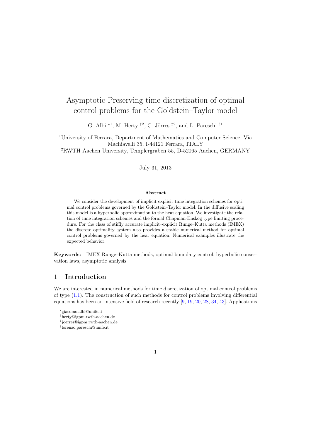# Asymptotic Preserving time-discretization of optimal control problems for the Goldstein–Taylor model

G. Albi <sup>\*1</sup>, M. Herty <sup>†2</sup>, C. Jörres <sup>‡2</sup>, and L. Pareschi <sup>§1</sup>

<sup>1</sup>University of Ferrara, Department of Mathematics and Computer Science, Via Machiavelli 35, I-44121 Ferrara, ITALY

<sup>2</sup>RWTH Aachen University, Templergraben 55, D-52065 Aachen, GERMANY

### July 31, 2013

#### Abstract

We consider the development of implicit-explicit time integration schemes for optimal control problems governed by the Goldstein–Taylor model. In the diffusive scaling this model is a hyperbolic approximation to the heat equation. We investigate the relation of time integration schemes and the formal Chapman-Enskog type limiting procedure. For the class of stiffly accurate implicit–explicit Runge–Kutta methods (IMEX) the discrete optimality system also provides a stable numerical method for optimal control problems governed by the heat equation. Numerical examples illustrate the expected behavior.

Keywords: IMEX Runge–Kutta methods, optimal boundary control, hyperbolic conservation laws, asymptotic analysis

# 1 Introduction

We are interested in numerical methods for time discretization of optimal control problems of type  $(1.1)$ . The construction of such methods for control problems involving differential equations has been an intensive field of research recently [9, 19, 20, 28, 34, 43]. Applications



<sup>∗</sup> giacomo.albi@unife.it

<sup>†</sup>herty@igpm.rwth-aachen.de

<sup>‡</sup> joerres@igpm.rwth-aachen.de

<sup>§</sup> lorenzo.pareschi@unife.it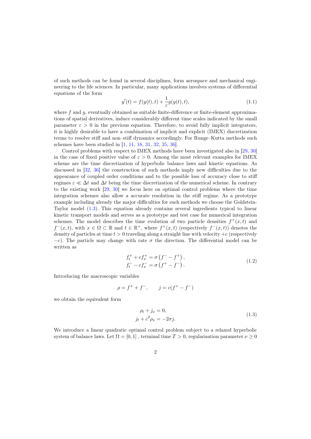of such methods can be found in several disciplines, form aerospace and mechanical engineering to the life sciences. In particular, many applications involves systems of differential equations of the form

$$
y'(t) = f(y(t), t) + \frac{1}{\varepsilon} g(y(t), t),
$$
\n(1.1)

where f and  $q$ , eventually obtained as suitable finite-difference or finite-element approximations of spatial derivatives, induce considerably different time scales indicated by the small parameter  $\varepsilon > 0$  in the previous equation. Therefore, to avoid fully implicit integrators, it is highly desirable to have a combination of implicit and explicit (IMEX) discretization terms to resolve stiff and non–stiff dynamics accordingly. For Runge–Kutta methods such schemes have been studied in [1, 11, 18, 31, 32, 35, 36].

Control problems with respect to IMEX methods have been investigated also in [29, 30] in the case of fixed positive value of  $\varepsilon > 0$ . Among the most relevant examples for IMEX scheme are the time discretization of hyperbolic balance laws and kinetic equations. As discussed in [32, 36] the construction of such methods imply new difficulties due to the appearance of coupled order conditions and to the possible loss of accuracy close to stiff regimes  $\varepsilon \ll \Delta t$  and  $\Delta t$  being the time discretization of the numerical scheme. In contrary to the existing work [29, 30] we focus here on optimal control problems where the time integration schemes also allow a accurate resolution in the stiff regime. As a prototype example including already the major difficulties for such methods we choose the Goldstein-Taylor model (1.3). This equation already contains several ingredients typical to linear kinetic transport models and serves as a prototype and test case for numerical integration schemes. The model describes the time evolution of two particle densities  $f^+(x,t)$  and  $f^-(x,t)$ , with  $x \in \Omega \subset \mathbb{R}$  and  $t \in \mathbb{R}^+$ , where  $f^+(x,t)$  (respectively  $f^-(x,t)$ ) denotes the density of particles at time  $t > 0$  traveling along a straight line with velocity  $+c$  (respectively  $-c$ ). The particle may change with rate  $\sigma$  the direction. The differential model can be written as

$$
f_t^+ + cf_x^+ = \sigma \left( f^- - f^+ \right), f_t^- - cf_x^- = \sigma \left( f^+ - f^- \right).
$$
 (1.2)

Introducing the macroscopic variables

$$
\rho = f^+ + f^-, \qquad j = c(f^+ - f^-)
$$

we obtain the equivalent form

$$
\rho_t + j_x = 0,
$$
  
\n
$$
j_t + c^2 \rho_x = -2\sigma j.
$$
\n(1.3)

We introduce a linear quadratic optimal control problem subject to a relaxed hyperbolic system of balance laws. Let  $\Omega = [0, 1]$ , terminal time  $T > 0$ , regularisation parameter  $\nu \geq 0$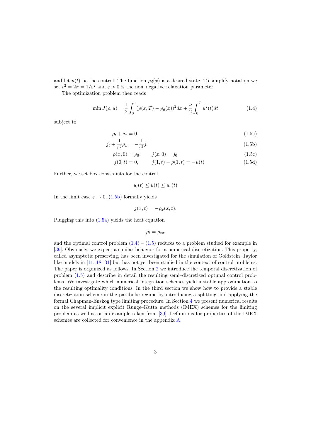and let  $u(t)$  be the control. The function  $\rho_d(x)$  is a desired state. To simplify notation we set  $c^2 = 2\sigma = 1/\varepsilon^2$  and  $\varepsilon > 0$  is the non-negative relaxation parameter.

The optimization problem then reads

$$
\min J(\rho, u) = \frac{1}{2} \int_0^1 (\rho(x, T) - \rho_d(x))^2 dx + \frac{\nu}{2} \int_0^T u^2(t) dt \tag{1.4}
$$

subject to

$$
\rho_t + j_x = 0,\tag{1.5a}
$$

$$
j_t + \frac{1}{\varepsilon^2} \rho_x = -\frac{1}{\varepsilon^2} j. \tag{1.5b}
$$

$$
\varepsilon^{1} \varepsilon^{2} \varepsilon^{2} \varepsilon^{2} \varepsilon^{2} \tag{1.5c}
$$
\n
$$
\rho(x, 0) = \rho_0, \qquad i(x, 0) = i_0 \tag{1.5c}
$$

$$
j(0,t) = 0, \t j(1,t) - \rho(1,t) = -u(t) \t (1.5d)
$$

Further, we set box constraints for the control

$$
u_l(t) \le u(t) \le u_r(t)
$$

In the limit case  $\varepsilon \to 0$ , (1.5b) formally yields

$$
j(x,t) = -\rho_x(x,t).
$$

Plugging this into (1.5a) yields the heat equation

$$
\rho_t = \rho_{xx}
$$

and the optimal control problem  $(1.4) - (1.5)$  reduces to a problem studied for example in [39]. Obviously, we expect a similar behavior for a numerical discretization. This property, called asymptotic preserving, has been investigated for the simulation of Goldstein–Taylor like models in [11, 18, 31] but has not yet been studied in the context of control problems. The paper is organized as follows. In Section 2 we introduce the temporal discretization of problem (1.5) and describe in detail the resulting semi–discretized optimal control problems. We investigate which numerical integration schemes yield a stable approximation to the resulting optimality conditions. In the third section we show how to provide a stable discretization scheme in the parabolic regime by introducing a splitting and applying the formal Chapman-Enskog type limiting procedure. In Section 4 we present numerical results on the several implicit explicit Runge–Kutta methods (IMEX) schemes for the limiting problem as well as on an example taken from [39]. Definitions for properties of the IMEX schemes are collected for convenience in the appendix A.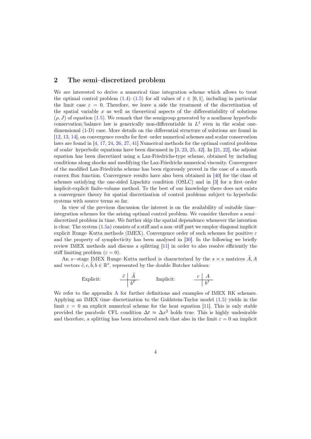# 2 The semi–discretized problem

We are interested to derive a numerical time integration scheme which allows to treat the optimal control problem  $(1.4)$ – $(1.5)$  for all values of  $\varepsilon \in [0,1]$ , including in particular the limit case  $\varepsilon = 0$ . Therefore, we leave a side the treatment of the discretization of the spatial variable  $x$  as well as theoretical aspects of the differentiability of solutions  $(\rho, J)$  of equation (1.5). We remark that the semigroup generated by a nonlinear hyperbolic conservation/balance law is generically non-differentiable in  $L^1$  even in the scalar onedimensional (1-D) case. More details on the differential structure of solutions are found in [12, 13, 14], on convergence results for first–order numerical schemes and scalar conservation laws are found in [4, 17, 24, 26, 27, 41] Numerical methods for the optimal control problems of scalar hyperbolic equations have been discussed in  $[3, 23, 25, 42]$ . In  $[21, 22]$ , the adjoint equation has been discretized using a Lax-Friedrichs-type scheme, obtained by including conditions along shocks and modifying the Lax-Friedrichs numerical viscosity. Convergence of the modified Lax-Friedrichs scheme has been rigorously proved in the case of a smooth convex flux function. Convergence results have also been obtained in [40] for the class of schemes satisfying the one-sided Lipschitz condition (OSLC) and in [3] for a first–order implicit-explicit finite-volume method. To the best of our knowledge there does not exists a convergence theory for spatial discretization of control problems subject to hyperbolic systems with source terms so far.

In view of the previous discussion the interest is on the availability of suitable time– integration schemes for the arising optimal control problem. We consider therefore a semi– discretized problem in time. We further skip the spatial dependence whenever the intention is clear. The system (1.5a) consists of a stiff and a non–stiff part we employ diagonal implicit explicit Runge–Kutta methods (IMEX). Convergence order of such schemes for positive  $\varepsilon$ and the property of symplecticity has been analysed in [30]. In the following we briefly review IMEX methods and discuss a splitting [11] in order to also resolve efficiently the stiff limiting problem  $(\varepsilon = 0)$ .

An s–stage IMEX Runge–Kutta method is characterized by the  $s \times s$  matrices  $\tilde{A}$ , A and vectors  $\tilde{c}, c, \tilde{b}, b \in \mathbb{R}^s$ , represented by the double Butcher tableau:

Explicit: 
$$
\frac{\tilde{c} \mid \tilde{A}}{\tilde{b}^T}
$$
 Implicit:  $\frac{c \mid A}{b^T}$ 

We refer to the appendix A for further definitions and examples of IMEX RK schemes. Applying an IMEX time–discretization to the Goldstein-Taylor model (1.5) yields in the limit  $\varepsilon = 0$  an explicit numerical scheme for the heat equation [11]. This is only stable provided the parabolic CFL condition  $\Delta t \approx \Delta x^2$  holds true. This is highly undesirable and therefore, a splitting has been introduced such that also in the limit  $\varepsilon = 0$  an implicit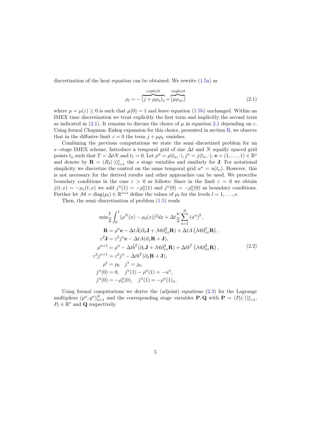discretization of the heat equation can be obtained. We rewrite  $(1.5a)$  as

$$
\rho_t = -\overbrace{(j + \mu \rho_x)_x}^{explicit} + \overbrace{(\mu \rho_{xx})}^{implicit}
$$
\n(2.1)

where  $\mu = \mu(\varepsilon) \ge 0$  is such that  $\mu(0) = 1$  and leave equation (1.5b) unchanged. Within an IMEX time discretization we treat explicitly the first term and implicitly the second term as indicated in (2.1). It remains to discuss the choice of  $\mu$  in equation 2.1 depending on  $\varepsilon$ . Using formal Chapman–Enkog expansion for this choice, presented in section B, we observe that in the diffusive limit  $\varepsilon = 0$  the term  $j + \mu \rho_x$  vanishes.

Combining the previous computations we state the semi–discretized problem for an s–stage IMEX scheme. Introduce a temporal grid of size  $\Delta t$  and N equally spaced grid points  $t_n$  such that  $T = \Delta t N$  and  $t_1 = 0$ . Let  $\rho^n = \rho(t_n, \cdot), j^n = j(t_n, \cdot), \mathbf{e} = (1, \dots, 1) \in \mathbb{R}^s$ and denote by  $\mathbf{R} = (R_{\ell}(\cdot))_{\ell=1}^{s}$  the s stage variables and similarly for **J**. For notational simplicity we discretize the control on the same temporal grid  $u^n = u(t_n)$ . However, this is not necessary for the derived results and other approaches can be used. We prescribe boundary conditions in the case  $\varepsilon > 0$  as follows: Since in the limit  $\varepsilon = 0$  we obtain  $j(t,x) = -\rho_x(t,x)$  we add  $j^n(1) = -\rho_x^n(1)$  and  $j^n(0) = -\rho_x^n(0)$  as boundary conditions. Further let  $\mathcal{M} = \text{diag}(\mu_l) \in \mathbb{R}^{s \times s}$  define the values of  $\mu_l$  for the levels  $l = 1, \ldots, s$ .

Then, the semi–discretization of problem (1.5) reads

$$
\min \frac{1}{2} \int_0^1 (\rho^N(x) - \rho_d(x))^2 dx + \Delta t \frac{\nu}{2} \sum_{n=1}^N (u^n)^2,
$$
  
\n
$$
\mathbf{R} = \rho^n \mathbf{e} - \Delta t \tilde{A} (\partial_x \mathbf{J} + \mathcal{M} \partial_{xx}^2 \mathbf{R}) + \Delta t A (\mathcal{M} \partial_{xx}^2 \mathbf{R}),
$$
  
\n
$$
\varepsilon^2 \mathbf{J} = \varepsilon^2 j^n \mathbf{e} - \Delta t A (\partial_x \mathbf{R} + \mathbf{J}),
$$
  
\n
$$
\rho^{n+1} = \rho^n - \Delta t \tilde{b}^T (\partial_x \mathbf{J} + \mathcal{M} \partial_{xx}^2 \mathbf{R}) + \Delta t b^T (\mathcal{M} \partial_{xx}^2 \mathbf{R}),
$$
  
\n
$$
\varepsilon^2 j^{n+1} = \varepsilon^2 j^n - \Delta t b^T (\partial_x \mathbf{R} + \mathbf{J}),
$$
  
\n
$$
\rho^1 = \rho_0 \quad j^1 = j_0,
$$
  
\n
$$
j^n(0) = 0, \quad j^n(1) - \rho^n(1) = -u^n,
$$
  
\n
$$
j^n(0) = -\rho_x^n(0), \quad j^n(1) = -\rho^n(1)_x.
$$
  
\n(2.2)

Using formal computations we derive the (adjoint) equations  $(2.3)$  for the Lagrange multipliers  $(p^n, q^n)_{n=1}^N$  and the corresponding stage variables **P**, **Q** with **P** =  $(P_\ell(\cdot))_{\ell=1}^s$ ,  $P_\ell \in \mathbb{R}^s$  and  $\mathbf{Q}$  respectively.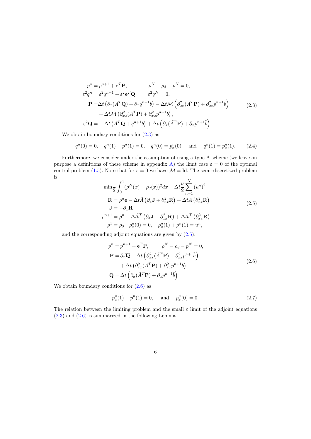$$
p^{n} = p^{n+1} + e^{T} \mathbf{P}, \qquad \rho^{N} - \rho_{d} - p^{N} = 0,
$$
  
\n
$$
\varepsilon^{2} q^{n} = \varepsilon^{2} q^{n+1} + \varepsilon^{2} e^{T} \mathbf{Q}, \qquad \varepsilon^{2} q^{N} = 0,
$$
  
\n
$$
\mathbf{P} = \Delta t \left( \partial_{x} (A^{T} \mathbf{Q}) + \partial_{x} q^{n+1} b \right) - \Delta t \mathcal{M} \left( \partial_{xx}^{2} (\tilde{A}^{T} \mathbf{P}) + \partial_{xx}^{2} p^{n+1} \tilde{b} \right)
$$
  
\n
$$
+ \Delta t \mathcal{M} \left( \partial_{xx}^{2} (A^{T} \mathbf{P}) + \partial_{xx}^{2} p^{n+1} b \right),
$$
  
\n
$$
\varepsilon^{2} \mathbf{Q} = - \Delta t \left( A^{T} \mathbf{Q} + q^{n+1} b \right) + \Delta t \left( \partial_{x} (\tilde{A}^{T} \mathbf{P}) + \partial_{x} p^{n+1} \tilde{b} \right).
$$
\n(2.3)

We obtain boundary conditions for  $(2.3)$  as

$$
q^{n}(0) = 0, \quad q^{n}(1) + p^{n}(1) = 0, \quad q^{n}(0) = p_{x}^{n}(0) \quad \text{and} \quad q^{n}(1) = p_{x}^{n}(1). \tag{2.4}
$$

Furthermore, we consider under the assumption of using a type A scheme (we leave on purpose a definitions of these scheme in appendix A) the limit case  $\varepsilon = 0$  of the optimal control problem (1.5). Note that for  $\varepsilon = 0$  we have  $\mathcal{M} =$  Id. The semi-discretized problem is

$$
\min \frac{1}{2} \int_0^1 (\rho^N(x) - \rho_d(x))^2 dx + \Delta t \frac{\nu}{2} \sum_{n=1}^N (u^n)^2
$$
  
\n
$$
\mathbf{R} = \rho^n \mathbf{e} - \Delta t \tilde{A} (\partial_x \mathbf{J} + \partial_{xx}^2 \mathbf{R}) + \Delta t A (\partial_{xx}^2 \mathbf{R})
$$
  
\n
$$
\mathbf{J} = -\partial_x \mathbf{R}
$$
  
\n
$$
\rho^{n+1} = \rho^n - \Delta t \tilde{b}^T (\partial_x \mathbf{J} + \partial_{xx}^2 \mathbf{R}) + \Delta t b^T (\partial_{xx}^2 \mathbf{R})
$$
  
\n
$$
\rho^1 = \rho_0 \quad \rho_x^n(0) = 0, \quad \rho_x^n(1) + \rho^n(1) = u^n,
$$
\n(2.5)

and the corresponding adjoint equations are given by (2.6).

$$
p^{n} = p^{n+1} + e^{T} \mathbf{P}, \qquad \rho^{N} - \rho_{d} - p^{N} = 0,
$$
  
\n
$$
\mathbf{P} = \partial_{x} \overline{\mathbf{Q}} - \Delta t \left( \partial_{xx}^{2} (\tilde{A}^{T} \mathbf{P}) + \partial_{xx}^{2} p^{n+1} \tilde{b} \right)
$$
  
\n
$$
+ \Delta t \left( \partial_{xx}^{2} (A^{T} \mathbf{P}) + \partial_{xx}^{2} p^{n+1} b \right)
$$
  
\n
$$
\overline{\mathbf{Q}} = \Delta t \left( \partial_{x} (\tilde{A}^{T} \mathbf{P}) + \partial_{x} p^{n+1} \tilde{b} \right)
$$
\n(2.6)

We obtain boundary conditions for  $(2.6)$  as

$$
p_x^n(1) + p^n(1) = 0, \quad \text{and} \quad p_x^n(0) = 0.
$$
 (2.7)

The relation between the limiting problem and the small  $\varepsilon$  limit of the adjoint equations (2.3) and (2.6) is summarized in the following Lemma.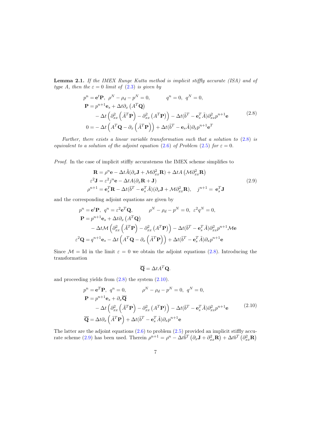Lemma 2.1. If the IMEX Runge Kutta method is implicit stiffly accurate (ISA) and of type A, then the  $\varepsilon = 0$  limit of (2.3) is given by

$$
p^{n} = \mathbf{e}^{t} \mathbf{P}, \ \rho^{N} - \rho_{d} - p^{N} = 0, \qquad q^{n} = 0, \ q^{N} = 0,
$$
  
\n
$$
\mathbf{P} = p^{n+1} \mathbf{e}_{s} + \Delta t \partial_{x} (A^{T} \mathbf{Q})
$$
  
\n
$$
- \Delta t \left( \partial_{xx}^{2} (\tilde{A}^{T} \mathbf{P}) - \partial_{xx}^{2} (A^{T} \mathbf{P}) \right) - \Delta t (\tilde{b}^{T} - \mathbf{e}_{s}^{T} \tilde{A}) \partial_{xx}^{2} p^{n+1} \mathbf{e}
$$
  
\n
$$
0 = - \Delta t (A^{T} \mathbf{Q} - \partial_{x} (\tilde{A}^{T} \mathbf{P})) + \Delta t (\tilde{b}^{T} - \mathbf{e}_{s} \tilde{A}) \partial_{x} p^{n+1} \mathbf{e}^{T}
$$
\n(2.8)

Further, there exists a linear variable transformation such that a solution to  $(2.8)$  is equivalent to a solution of the adjoint equation (2.6) of Problem (2.5) for  $\varepsilon = 0$ .

Proof. In the case of implicit stiffly accurateness the IMEX scheme simplifies to

$$
\mathbf{R} = \rho^n \mathbf{e} - \Delta t \tilde{A} (\partial_x \mathbf{J} + \mathcal{M} \partial_{xx}^2 \mathbf{R}) + \Delta t A (\mathcal{M} \partial_{xx}^2 \mathbf{R})
$$
  
\n
$$
\varepsilon^2 \mathbf{J} = \varepsilon^2 j^n \mathbf{e} - \Delta t A (\partial_x \mathbf{R} + \mathbf{J})
$$
  
\n
$$
\rho^{n+1} = \mathbf{e}_s^T \mathbf{R} - \Delta t (\tilde{b}^T - \mathbf{e}_s^T \tilde{A}) (\partial_x \mathbf{J} + \mathcal{M} \partial_{xx}^2 \mathbf{R}), \quad j^{n+1} = \mathbf{e}_s^T \mathbf{J}
$$
\n(2.9)

and the corresponding adjoint equations are given by

$$
p^{n} = \mathbf{e}^{t} \mathbf{P}, \quad q^{n} = \varepsilon^{2} \mathbf{e}^{T} \mathbf{Q}, \qquad \qquad \rho^{N} - \rho_{d} - p^{N} = 0, \quad \varepsilon^{2} q^{N} = 0,
$$

$$
\mathbf{P} = p^{n+1} \mathbf{e}_{s} + \Delta t \partial_{x} (A^{T} \mathbf{Q})
$$

$$
- \Delta t \mathcal{M} \left( \partial_{xx}^{2} \left( \tilde{A}^{T} \mathbf{P} \right) - \partial_{xx}^{2} (A^{T} \mathbf{P}) \right) - \Delta t (\tilde{b}^{T} - \mathbf{e}_{s}^{T} \tilde{A}) \partial_{xx}^{2} p^{n+1} \mathcal{M} \mathbf{e}
$$

$$
\varepsilon^{2} \mathbf{Q} = q^{n+1} \mathbf{e}_{s} - \Delta t \left( A^{T} \mathbf{Q} - \partial_{x} \left( \tilde{A}^{T} \mathbf{P} \right) \right) + \Delta t (\tilde{b}^{T} - \mathbf{e}_{s}^{T} \tilde{A}) \partial_{x} p^{n+1} \mathbf{e}
$$

Since  $\mathcal{M} =$  Id in the limit  $\varepsilon = 0$  we obtain the adjoint equations (2.8). Introducing the transformation

$$
\overline{\mathbf{Q}} = \Delta t A^T \mathbf{Q}.
$$

and proceeding yields from  $(2.8)$  the system  $(2.10)$ .

$$
p^{n} = \mathbf{e}^{T} \mathbf{P}, q^{n} = 0, \qquad \rho^{N} - \rho_{d} - p^{N} = 0, q^{N} = 0,
$$
  
\n
$$
\mathbf{P} = p^{n+1} \mathbf{e}_{s} + \partial_{x} \overline{\mathbf{Q}}
$$
  
\n
$$
-\Delta t \left( \partial_{xx}^{2} \left( \tilde{A}^{T} \mathbf{P} \right) - \partial_{xx}^{2} \left( A^{T} \mathbf{P} \right) \right) - \Delta t (\tilde{b}^{T} - \mathbf{e}_{s}^{T} \tilde{A}) \partial_{xx}^{2} p^{n+1} \mathbf{e}
$$
  
\n
$$
\overline{\mathbf{Q}} = \Delta t \partial_{x} \left( \tilde{A}^{T} \mathbf{P} \right) + \Delta t (\tilde{b}^{T} - \mathbf{e}_{s}^{T} \tilde{A}) \partial_{x} p^{n+1} \mathbf{e}
$$
\n(2.10)

The latter are the adjoint equations (2.6) to problem (2.5) provided an implicit stiffly accurate scheme (2.9) has been used. Therein  $\rho^{n+1} = \rho^n - \Delta t \tilde{b}^T (\partial_x \mathbf{J} + \partial_{xx}^2 \mathbf{R}) + \Delta t b^T (\partial_{xx}^2 \mathbf{R})$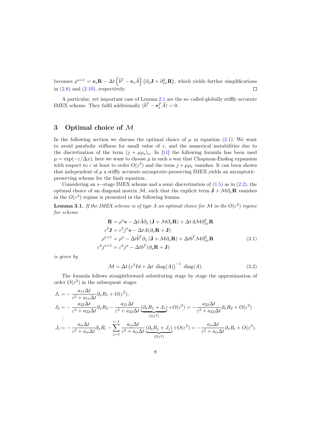becomes  $\rho^{n+1} = \mathbf{e}_s \mathbf{R} - \Delta t \left( \tilde{b}^T - \mathbf{e}_s \tilde{A} \right) \left( \partial_x \mathbf{J} + \partial_{xx}^2 \mathbf{R} \right)$ , which yields further simplifications in  $(2.8)$  and  $(2.10)$ , respectively.  $\Box$ 

A particular, yet important case of Lemma 2.1 are the so–called globally stiffly accurate IMEX scheme. They fulfil additionally  $(\tilde{b}^T - \mathbf{e}_s^T \tilde{A}) = 0$ .

## 3 Optimal choice of M

In the following section we discuss the optimal choice of  $\mu$  in equation (2.1). We want to avoid parabolic stiffness for small value of  $\varepsilon$ , and the numerical instabilities due to the discretization of the term  $(j + \mu \rho_x)_x$ . In [11] the following formula has been used  $\mu = \exp(-\varepsilon/\Delta x)$ , here we want to choose  $\mu$  in such a way that Chapman-Enskog expansion with respect to  $\varepsilon$  at least to order  $O(\varepsilon^2)$  and the term  $j + \mu \rho_x$  vanishes. It can been shown that independent of  $\mu$  a stiffly accurate asymptotic-preserving IMEX yields an asymptoticpreserving scheme for the limit equation.

Considering an  $s$ –stage IMEX scheme and a semi–discretization of  $(1.5)$  as in  $(2.2)$ , the optimal choice of an diagonal matrix M, such that the explicit term  $\mathbf{J} + \mathcal{M} \partial_x \mathbf{R}$  vanishes in the  $O(\varepsilon^2)$  regime is presented in the following lemma.

**Lemma 3.1.** If the IMEX scheme is of type A an optimal choice for M in the  $O(\varepsilon^2)$  regime for scheme

$$
\mathbf{R} = \rho^n \mathbf{e} - \Delta t \tilde{A} \partial_x (\mathbf{J} + \mathcal{M} \partial_x \mathbf{R}) + \Delta t A \mathcal{M} \partial_{xx}^2 \mathbf{R}
$$
  
\n
$$
\varepsilon^2 \mathbf{J} = \varepsilon^2 j^n \mathbf{e} - \Delta t A (\partial_x \mathbf{R} + \mathbf{J})
$$
  
\n
$$
\rho^{n+1} = \rho^n - \Delta t \tilde{b}^T \partial_x (\mathbf{J} + \mathcal{M} \partial_x \mathbf{R}) + \Delta t b^T \mathcal{M} \partial_{xx}^2 \mathbf{R}
$$
  
\n
$$
\varepsilon^2 j^{n+1} = \varepsilon^2 j^n - \Delta t b^T (\partial_x \mathbf{R} + \mathbf{J})
$$
\n(3.1)

is given by

$$
\mathcal{M} = \Delta t \left( \varepsilon^2 Id + \Delta t \operatorname{diag}(A) \right)^{-1} \operatorname{diag}(A). \tag{3.2}
$$

The formula follows straightforward substituting stage by stage the approximation of order  $O(\varepsilon^2)$  in the subsequent stages

$$
J_1 = -\frac{a_{11}\Delta t}{\varepsilon^2 + a_{11}\Delta t} \partial_x R_1 + O(\varepsilon^2),
$$
  
\n
$$
J_2 = -\frac{a_{22}\Delta t}{\varepsilon^2 + a_{22}\Delta t} \partial_x R_2 - \frac{a_{21}\Delta t}{\varepsilon^2 + a_{22}\Delta t} \underbrace{(\partial_x R_1 + J_1)}_{O(\varepsilon^2)} + O(\varepsilon^2) = -\frac{a_{22}\Delta t}{\varepsilon^2 + a_{22}\Delta t} \partial_x R_2 + O(\varepsilon^2)
$$
  
\n:  
\n:  
\n:
$$
J_i = -\frac{a_{ii}\Delta t}{\varepsilon^2 + a_{ii}\Delta t} \partial_x R_i - \sum_{j=1}^{i-1} \frac{a_{ij}\Delta t}{\varepsilon^2 + a_{ii}\Delta t} \underbrace{(\partial_x R_j + J_j)}_{O(\varepsilon^2)} + O(\varepsilon^2) = -\frac{a_{ii}\Delta t}{\varepsilon^2 + a_{ii}\Delta t} \partial_x R_i + O(\varepsilon^2).
$$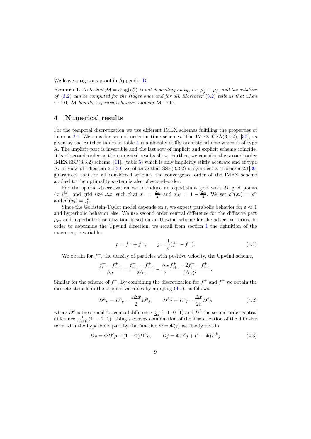We leave a rigorous proof in Appendix B.

**Remark 1.** Note that  $M = \text{diag}(\mu_j^n)$  is not depending on  $t_n$ , i.e,  $\mu_j^n \equiv \mu_j$ , and the solution of  $(3.2)$  can be computed for the stages once and for all. Moreover  $(3.2)$  tells us that when  $\varepsilon \to 0$ , M has the expected behavior, namely  $\mathcal{M} \to \mathrm{Id}$ .

## 4 Numerical results

For the temporal discretization we use different IMEX schemes fulfilling the properties of Lemma 2.1. We consider second–order in time schemes. The IMEX  $GSA(3,4,2)$ , [30], as given by the Butcher tables in table 4 is a globally stiffly accurate scheme which is of type A. The implicit part is invertible and the last row of implicit and explicit scheme coincide. It is of second–order as the numerical results show. Further, we consider the second–order IMEX SSP(3,3,2) scheme, [11], (table 5) which is only implicitly stiffly accurate and of type A. In view of Theorem 3.1[30] we observe that SSP(3,3,2) is symplectic. Theorem 2.1[30] guarantees that for all considered schemes the convergence order of the IMEX scheme applied to the optimality system is also of second–order.

For the spatial discretization we introduce an equidistant grid with  $M$  grid points  ${x_i}_{i=1}^M$  and grid size  $\Delta x$ , such that  $x_1 = \frac{\Delta x}{2}$  and  $x_M = 1 - \frac{\Delta x}{2}$ . We set  $\rho^n(x_i) = \rho_i^n$ and  $j^n(x_i) = j_i^n$ .

Since the Goldstein-Taylor model depends on  $\varepsilon$ , we expect parabolic behavior for  $\varepsilon \ll 1$ and hyperbolic behavior else. We use second order central difference for the diffusive part  $\rho_{xx}$  and hyperbolic discretization based on an Upwind scheme for the advective terms. In order to determine the Upwind direction, we recall from section 1 the definition of the macroscopic variables

$$
\rho = f^+ + f^-, \qquad j = \frac{1}{\varepsilon}(f^+ - f^-). \tag{4.1}
$$

We obtain for  $f^+$ , the density of particles with positive velocity, the Upwind scheme,

$$
\frac{f_i^+ - f_{i-1}^+}{\Delta x} = \frac{f_{i+1}^+ - f_{i-1}^+}{2\Delta x} - \frac{\Delta x}{2} \frac{f_{i+1}^+ - 2f_i^+ - f_{i-1}^+}{(\Delta x)^2}.
$$

Similar for the scheme of  $f^-$ . By combining the discretization for  $f^+$  and  $f^-$  we obtain the discrete stencils in the original variables by applying  $(4.1)$ , as follows:

$$
D^h \rho = D^c \rho - \frac{\varepsilon \Delta x}{2} D^2 j, \qquad D^h j = D^c j - \frac{\Delta x}{2\varepsilon} D^2 \rho \tag{4.2}
$$

where  $D^c$  is the stencil for central difference  $\frac{1}{\Delta x}(-1 \ 0 \ 1)$  and  $D^2$  the second order central difference  $\frac{1}{(\Delta x)^2}$  (1 − 2 1). Using a convex combination of the discretization of the diffusive term with the hyperbolic part by the function  $\Phi = \Phi(\varepsilon)$  we finally obtain

$$
D\rho = \Phi D^c \rho + (1 - \Phi) D^h \rho, \qquad Dj = \Phi D^c j + (1 - \Phi) D^h j \tag{4.3}
$$

9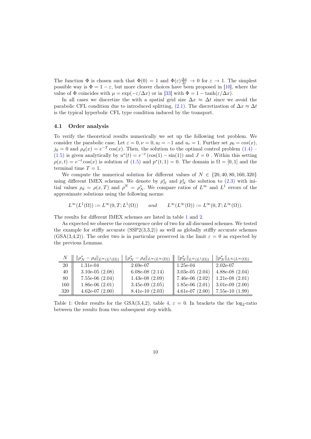The function  $\Phi$  is chosen such that  $\Phi(0) = 1$  and  $\Phi(\varepsilon) \frac{\Delta x}{2\varepsilon} \to 0$  for  $\varepsilon \to 1$ . The simplest possible way is  $\Phi = 1 - \varepsilon$ , but more cleaver choices have been proposed in [10], where the value of  $\Phi$  coincides with  $\mu = \exp(-\varepsilon/\Delta x)$  or in [33] with  $\Phi = 1 - \tanh(\varepsilon/\Delta x)$ .

In all cases we discretize the with a spatial grid size  $\Delta x \approx \Delta t$  since we avoid the parabolic CFL condition due to introduced splitting, (2.1). The discretization of  $\Delta x \approx \Delta t$ is the typical hyperbolic CFL type condition induced by the transport.

#### 4.1 Order analysis

To verify the theoretical results numerically we set up the following test problem. We consider the parabolic case. Let  $\varepsilon = 0$ ,  $\nu = 0$ ,  $u_l = -1$  and  $u_r = 1$ . Further set  $\rho_0 = \cos(x)$ ,  $j_0 = 0$  and  $\rho_d(x) = e^{-T} \cos(x)$ . Then, the solution to the optimal control problem (1.4) – (1.5) is given analytically by  $u^*(t) = e^{-t}(\cos(1) - \sin(1))$  and  $J = 0$ . Within this setting  $\rho(x,t) = e^{-t}\cos(x)$  is solution of  $(1.5)$  and  $p^*(t,1) = 0$ . The domain is  $\Omega = [0,1]$  and the terminal time  $T = 1$ .

We compute the numerical solution for different values of  $N \in \{20, 40, 80, 160, 320\}$ using different IMEX schemes. We denote by  $\rho_N^*$  and  $p_N^*$  the solution to (2.3) with initial values  $\rho_d = \rho(x,T)$  and  $\rho^N = \rho_N^*$ . We compare ratios of  $L^{\infty}$  and  $L^1$  errors of the approximate solutions using the following norms:

$$
L^{\infty}(L^1(\Omega)) := L^{\infty}(0,T;L^1(\Omega)) \quad and \quad L^{\infty}(L^{\infty}(\Omega)) := L^{\infty}(0,T;L^{\infty}(\Omega)).
$$

The results for different IMEX schemes are listed in table 1 and 2.

As expected we observe the convergence order of two for all discussed schemes. We tested the example for stiffly accurate  $(SSP2(3,3,2))$  as well as globally stiffly accurate schemes  $(GSA(3,4,2))$ . The order two is in particular preserved in the limit  $\varepsilon = 0$  as expected by the previous Lemmas.

|     | $\ \rho_N^* - \rho_d\ _{L^\infty(L^1(\Omega))}$ | $\ \rho_N^* - \rho_d\ _{L^{\infty}(L^{\infty}(\Omega))} \ \ p_N^*\ _{L^{\infty}(L^1(\Omega))}$ |                   | $\  p_N^* \ _{L^{\infty}(L^{\infty}(\Omega))}$ |
|-----|-------------------------------------------------|------------------------------------------------------------------------------------------------|-------------------|------------------------------------------------|
| 20  | $1.31e-04$                                      | $2.69e-07$                                                                                     | $1.25e-04$        | $2.02e-07$                                     |
| 40  | $3.10e-05(2.08)$                                | 6.08e-08 $(2.14)$                                                                              | 3.03e-05 $(2.04)$ | 4.88e-08 $(2.04)$                              |
| 80  | $7.55e-06$ $(2.04)$                             | $1.43e-08(2.09)$                                                                               | $7.46e-06(2.02)$  | $1.21e-08(2.01)$                               |
| 160 | $1.86e-06(2.01)$                                | $3.45e-09(2.05)$                                                                               | $1.85e-06(2.01)$  | 3.01e-09 $(2.00)$                              |
| 320 | 4.62e-07 $(2.00)$                               | $8.41e-10(2.03)$                                                                               | $4.61e-07(2.00)$  | $7.55e-10(1.99)$                               |

Table 1: Order results for the  $GSA(3,4,2)$ , table 4,  $\varepsilon = 0$ . In brackets the the log<sub>2</sub>-ratio between the results from two subsequent step width.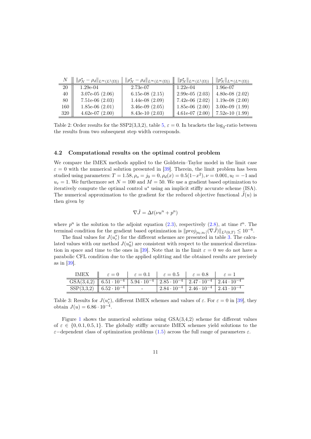|     | $\ \rho_N^* - \rho_d\ _{L^\infty(L^1(\Omega))}$ | $\ \rho_N^* - \rho_d\ _{L^{\infty}(L^{\infty}(\Omega))} \ \ p_N^*\ _{L^{\infty}(L^1(\Omega))}$ |                             | $\  \  p_N^* \ _{L^{\infty}(L^{\infty}(\Omega))}$ |
|-----|-------------------------------------------------|------------------------------------------------------------------------------------------------|-----------------------------|---------------------------------------------------|
| 20  | $1.29e-04$                                      | 2.73e-07                                                                                       | $1.22e-04$                  | $1.96e-07$                                        |
| 40  | $3.07e-05(2.06)$                                | 6.15e-08 $(2.15)$                                                                              | 2.99e-05 $(2.03)$           | 4.80e-08 $(2.02)$                                 |
| 80  | $7.51e-06$ $(2.03)$                             | $1.44e-08(2.09)$                                                                               | $7.42e-06$ (2.02)           | $1.19e-08(2.00)$                                  |
| 160 | $1.85e-06(2.01)$                                | 3.46e-09 $(2.05)$                                                                              | $1.85e-06$ (2.00)           | $3.00e-09(1.99)$                                  |
| 320 | $4.62e-07(2.00)$                                | $8.43e-10(2.03)$                                                                               | $\parallel$ 4.61e-07 (2.00) | $7.52e-10$ (1.99)                                 |

Table 2: Order results for the SSP2(3,3,2), table  $5, \varepsilon = 0$ . In brackets the log<sub>2</sub>-ratio between the results from two subsequent step width corresponds.

### 4.2 Computational results on the optimal control problem

We compare the IMEX methods applied to the Goldstein–Taylor model in the limit case  $\varepsilon = 0$  with the numerical solution presented in [39]. Therein, the limit problem has been studied using parameters:  $T = 1.58$ ,  $\rho_o = j_0 = 0$ ,  $\rho_d(x) = 0.5(1-x^2)$ ,  $\nu = 0.001$ ,  $u_l = -1$  and  $u_r = 1$ . We furthermore set  $N = 100$  and  $M = 50$ . We use a gradient based optimization to iteratively compute the optimal control  $u^*$  using an implicit stiffly accurate scheme  $(ISA)$ . The numerical approximation to the gradient for the reduced objective functional  $\tilde{J}(u)$  is then given by

$$
\nabla \tilde{J} = \Delta t (\nu u^n + p^n)
$$

where  $p^n$  is the solution to the adjoint equation (2.3), respectively (2.8), at time  $t^n$ . The terminal condition for the gradient based optimization is  $||proj_{[u_l, u_r]}(\nabla \tilde{J})||_{L^2(0,T)} \leq 10^{-6}$ .

The final values for  $J(u_{\varepsilon}^*)$  for the different schemes are presented in table 3. The calculated values with our method  $J(u_0^*)$  are consistent with respect to the numerical discretization in space and time to the ones in [39]. Note that in the limit  $\varepsilon = 0$  we do not have a parabolic CFL condition due to the applied splitting and the obtained results are precisely as in [39].

| IMEX                                                                                                                                                                                                       | $\varepsilon = 0$ | $\varepsilon = 0.1$ | $\varepsilon = 0.5$                                                 | $\varepsilon = 0.8$ |  |
|------------------------------------------------------------------------------------------------------------------------------------------------------------------------------------------------------------|-------------------|---------------------|---------------------------------------------------------------------|---------------------|--|
| $GSA(3,4,2)$ $\parallel$ 6.51 $\cdot$ 10 <sup>-4</sup> $\mid$ 5.94 $\cdot$ 10 <sup>-4</sup> $\mid$ 2.85 $\cdot$ 10 <sup>-4</sup> $\mid$ 2.47 $\cdot$ 10 <sup>-4</sup> $\mid$ 2.44 $\cdot$ 10 <sup>-4</sup> |                   |                     |                                                                     |                     |  |
| $SSP(3,3,2)$   6.52 $\cdot$ 10 <sup>-4</sup>                                                                                                                                                               |                   |                     | $12.84 \cdot 10^{-4}$   $2.46 \cdot 10^{-4}$   $2.43 \cdot 10^{-4}$ |                     |  |

Table 3: Results for  $J(u_{\varepsilon}^*)$ , different IMEX schemes and values of  $\varepsilon$ . For  $\varepsilon = 0$  in [39], they obtain  $J(u) = 6.86 \cdot 10^{-4}$ .

Figure 1 shows the numerical solutions using  $GSA(3,4,2)$  scheme for different values of  $\varepsilon \in \{0, 0.1, 0.5, 1\}$ . The globally stiffly accurate IMEX schemes yield solutions to the ε−dependent class of optimization problems (1.5) across the full range of parameters ε.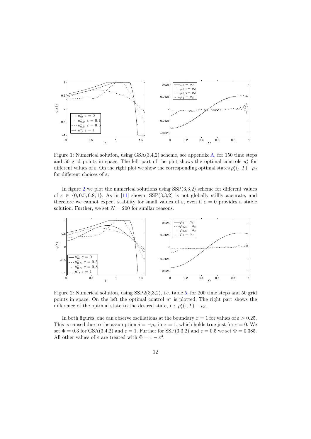

Figure 1: Numerical solution, using GSA(3,4,2) scheme, see appendix A, for 150 time steps and 50 grid points in space. The left part of the plot shows the optimal controls  $u_{\varepsilon}^*$  for different values of  $\varepsilon$ . On the right plot we show the corresponding optimal states  $\rho_{\varepsilon}^*(\cdot, T) - \rho_d$ for different choices of  $\varepsilon$ .

In figure 2 we plot the numerical solutions using  $SSP(3,3,2)$  scheme for different values of  $\varepsilon \in \{0, 0.5, 0.8, 1\}$ . As in [11] shown, SSP(3,3,2) is not globally stiffly accurate, and therefore we cannot expect stability for small values of  $\varepsilon$ , even if  $\varepsilon = 0$  provides a stable solution. Further, we set  $N = 200$  for similar reasons.



Figure 2: Numerical solution, using SSP2(3,3,2), i.e. table 5, for 200 time steps and 50 grid points in space. On the left the optimal control  $u^*$  is plotted. The right part shows the difference of the optimal state to the desired state, i.e.  $\rho_{\varepsilon}^{*}(\cdot, T) - \rho_{d}$ .

In both figures, one can observe oscillations at the boundary  $x = 1$  for values of  $\varepsilon > 0.25$ . This is caused due to the assumption  $j = -\rho_x$  in  $x = 1$ , which holds true just for  $\varepsilon = 0$ . We set  $\Phi = 0.3$  for GSA(3,4,2) and  $\varepsilon = 1$ . Further for SSP(3,3,2) and  $\varepsilon = 0.5$  we set  $\Phi = 0.385$ . All other values of  $\varepsilon$  are treated with  $\Phi = 1 - \varepsilon^3$ .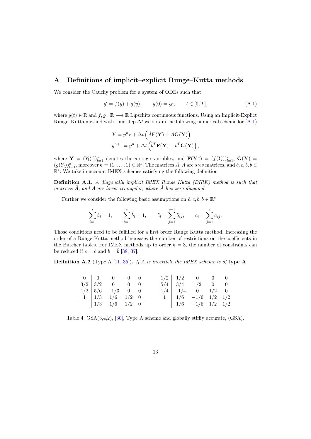# A Definitions of implicit–explicit Runge–Kutta methods

We consider the Cauchy problem for a system of ODEs such that

$$
y' = f(y) + g(y), \qquad y(0) = y_0, \qquad t \in [0, T], \tag{A.1}
$$

where  $y(t) \in \mathbb{R}$  and  $f, g : \mathbb{R} \longrightarrow \mathbb{R}$  Lipschitz continuous functions. Using an Implicit-Explict Runge–Kutta method with time step  $\Delta t$  we obtain the following numerical scheme for (A.1)

$$
\mathbf{Y} = y^n \mathbf{e} + \Delta t \left( \tilde{A} \mathbf{F}(\mathbf{Y}) + A \mathbf{G}(\mathbf{Y}) \right)
$$
  

$$
y^{n+1} = y^n + \Delta t \left( \tilde{b}^T \mathbf{F}(\mathbf{Y}) + b^T \mathbf{G}(\mathbf{Y}) \right),
$$

where  $\mathbf{Y} = (Y_l(\cdot))_{l=1}^s$  denotes the s stage variables, and  $\mathbf{F}(\mathbf{Y}^n) = (f(Y_l))_{l=1}^s$ ,  $\mathbf{G}(\mathbf{Y}) = (f(Y_l))_{l=1}^s$  $(g(Y_l))_{l=1}^s$ , moreover  $\mathbf{e} = (1, \ldots, 1) \in \mathbb{R}^s$ . The matrices  $\tilde{A}$ , A are  $s \times s$  matrices, and  $\tilde{c}$ ,  $c$ ,  $\tilde{b}$ ,  $b \in$ R s . We take in account IMEX schemes satisfying the following definition

Definition A.1. A diagonally implicit IMEX Runge Kutta (DIRK) method is such that matrices  $\ddot{A}$ , and  $A$  are lower triangular, where  $\ddot{A}$  has zero diagonal.

Further we consider the following basic assumptions on  $\tilde{c}, c, \tilde{b}, b \in \mathbb{R}^s$ 

$$
\sum_{i=1}^{s} b_i = 1, \qquad \sum_{i=1}^{s} \tilde{b}_i = 1, \qquad \tilde{c}_i = \sum_{j=1}^{i-1} \tilde{a}_{ij}, \qquad c_i = \sum_{j=1}^{i} a_{ij},
$$

Those conditions need to be fulfilled for a first order Runge Kutta method. Increasing the order of a Runge Kutta method increases the number of restrictions on the coefficients in the Butcher tables. For IMEX methods up to order  $k = 3$ , the number of constraints can be reduced if  $c = \tilde{c}$  and  $b = b$  [38, 37].

**Definition A.2** (Type A [11, 35]). If A is invertible the IMEX scheme is of type A.

|  | $\begin{array}{c cccc} 0 & 0 & 0 & 0 \end{array}$ |  |  | $1/2$   $1/2$ 0 0 0                         |  |
|--|---------------------------------------------------|--|--|---------------------------------------------|--|
|  | $3/2$   $3/2$ 0 0 0                               |  |  | $5/4$ $3/4$ $1/2$ 0 0                       |  |
|  | $1/2$   $5/6$ -1/3 0 0                            |  |  | $1/4$ $-1/4$ 0 $1/2$ 0                      |  |
|  | $1 \mid 1/3 \mid 1/6 \mid 1/2 \mid 0$             |  |  | $1 \mid 1/6 \quad -1/6 \quad 1/2 \quad 1/2$ |  |
|  | $\frac{1}{3}$ $\frac{1}{6}$ $\frac{1}{2}$ 0       |  |  |                                             |  |

Table 4: GSA(3,4,2), [30], Type A scheme and globally stiffly accurate, (GSA).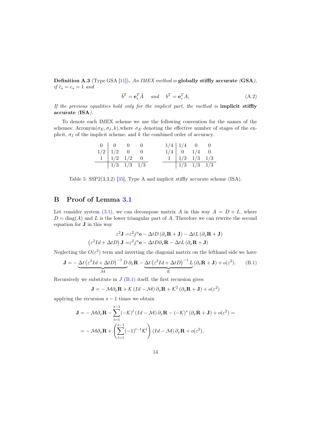**Definition A.3** (Type GSA [11]). An IMEX method is globally stiffly accurate  $(GSA)$ . if  $\tilde{c}_s = c_s = 1$  and

$$
\tilde{b}^T = \mathbf{e}_s^T \tilde{A} \quad \text{and} \quad b^T = \mathbf{e}_s^T A,
$$
\n(A.2)

If the previous equalities hold only for the implicit part, the method is **implicit stiffly** accurate (ISA).

To denote each IMEX scheme we use the following convention for the names of the schemes: Acronym $(\sigma_E, \sigma_I, k)$ , where  $\sigma_E$  denoting the effective number of stages of the explicit,  $\sigma_I$  of the implicit scheme. and k the combined order of accuracy.

|  | $0 \begin{array}{ c c } 0 & 0 & 0 \end{array}$ |  |                 | $1/4$   $1/4$ 0 0              |  |
|--|------------------------------------------------|--|-----------------|--------------------------------|--|
|  | $1/2$   $1/2$ 0 0                              |  | $1/4$ 0 $1/4$ 0 |                                |  |
|  | $1 \mid 1/2 \mid 1/2 \mid 0$                   |  |                 | $1 \mid 1/3 \mid 1/3 \mid 1/3$ |  |
|  | $\frac{1}{3}$ $\frac{1}{3}$ $\frac{1}{3}$      |  |                 | $1/3$ $1/3$ $1/3$              |  |

Table 5: SSP2(3,3,2) [35], Type A and implicit stiffly accurate scheme (ISA).

# B Proof of Lemma 3.1

Let consider system (3.1), we can decompose matrix A in this way  $A = D + L$ , where  $D = \text{diag}(A)$  and L is the lower triangular part of A, Therefore we can rewrite the second equation for J in this way

$$
\varepsilon^2 \mathbf{J} = \varepsilon^2 j^n \mathbf{e} - \Delta t D \left( \partial_x \mathbf{R} + \mathbf{J} \right) - \Delta t L \left( \partial_x \mathbf{R} + \mathbf{J} \right)
$$

$$
\left( \varepsilon^2 Id + \Delta t D \right) \mathbf{J} = \varepsilon^2 j^n \mathbf{e} - \Delta t D \partial_x \mathbf{R} - \Delta t L \left( \partial_x \mathbf{R} + \mathbf{J} \right)
$$

Neglecting the  $O(\varepsilon^2)$  term and inverting the diagonal matrix on the lefthand side we have

$$
\mathbf{J} = -\underbrace{\Delta t \left(\varepsilon^2 Id + \Delta t D\right)^{-1} D}_{\mathcal{M}} \partial_x \mathbf{R} - \underbrace{\Delta t \left(\varepsilon^2 Id + \Delta t D\right)^{-1} L}_{\mathcal{K}} (\partial_x \mathbf{R} + \mathbf{J}) + o(\varepsilon^2). \tag{B.1}
$$

Recursively we substitute in  $J$  (B.1) itself, the first recursion gives

$$
\mathbf{J} = -\mathcal{M}\partial_x \mathbf{R} + \mathcal{K}\left(\mathit{Id} - \mathcal{M}\right)\partial_x \mathbf{R} + \mathcal{K}^2\left(\partial_x \mathbf{R} + \mathbf{J}\right) + o(\varepsilon^2)
$$

applying the recursion  $s - 1$  times we obtain

$$
\mathbf{J} = -\mathcal{M}\partial_x \mathbf{R} - \sum_{l=1}^{s-1} (-\mathcal{K})^l (Id - \mathcal{M}) \partial_x \mathbf{R} - (-\mathcal{K})^s (\partial_x \mathbf{R} + \mathbf{J}) + o(\varepsilon^2) =
$$
  
=  $-\mathcal{M}\partial_x \mathbf{R} + \left(\sum_{l=1}^{s-1} (-1)^{l-1} \mathcal{K}^l\right) (Id - \mathcal{M}) \partial_x \mathbf{R} + o(\varepsilon^2),$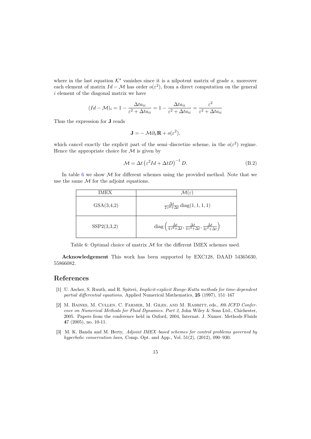where in the last equation  $K^s$  vanishes since it is a nilpotent matrix of grade s, moreover each element of matrix  $Id - \mathcal{M}$  has order  $o(\varepsilon^2)$ , from a direct computation on the general i element of the diagonal matrix we have

$$
(Id - \mathcal{M})_i = 1 - \frac{\Delta t a_{ii}}{\varepsilon^2 + \Delta t a_{ii}} = 1 - \frac{\Delta t a_{ii}}{\varepsilon^2 + \Delta t a_{ii}} = \frac{\varepsilon^2}{\varepsilon^2 + \Delta t a_{ii}}
$$

Thus the expression for J reads

$$
\mathbf{J} = -\mathcal{M}\partial_x \mathbf{R} + o(\varepsilon^2),
$$

which cancel exactly the explicit part of the semi-discretize scheme, in the  $o(\varepsilon^2)$  regime. Hence the appropriate choice for  $\mathcal M$  is given by

$$
\mathcal{M} = \Delta t \left( \varepsilon^2 I d + \Delta t D \right)^{-1} D. \tag{B.2}
$$

In table 6 we show  $M$  for different schemes using the provided method. Note that we use the same  $M$  for the adjoint equations.

| IMEX        | $\mathcal{M}(\varepsilon)$                                                                                                                             |
|-------------|--------------------------------------------------------------------------------------------------------------------------------------------------------|
| GSA(3,4,2)  | $\frac{\Delta t}{2\epsilon^2 + \Delta t}$ diag(1, 1, 1, 1)                                                                                             |
| SSP2(3,3,2) | diag $\left(\frac{\Delta t}{4\varepsilon^2 + \Delta t}, \frac{\Delta t}{4\varepsilon^2 + \Delta t}, \frac{\Delta t}{3\varepsilon^2 + \Delta t}\right)$ |

Table 6: Optimal choice of matrix  $M$  for the different IMEX schemes used.

Acknowledgement This work has been supported by EXC128, DAAD 54365630, 55866082.

## References

- [1] U. Ascher, S. Ruuth, and R. Spiteri, Implicit-explicit Runge-Kutta methods for time-dependent partial differential equations, Applied Numerical Mathematics, 25 (1997), 151–167
- [2] M. BAINES, M. CULLEN, C. FARMER, M. GILES, AND M. RABBITT, eds., 8th ICFD Conference on Numerical Methods for Fluid Dynamics. Part 2, John Wiley & Sons Ltd., Chichester, 2005. Papers from the conference held in Oxford, 2004, Internat. J. Numer. Methods Fluids 47 (2005), no. 10-11.
- [3] M. K. Banda and M. Herty, Adjoint IMEX-based schemes for control problems governed by hyperbolic conservation laws, Comp. Opt. and App., Vol. 51(2), (2012), 090-930.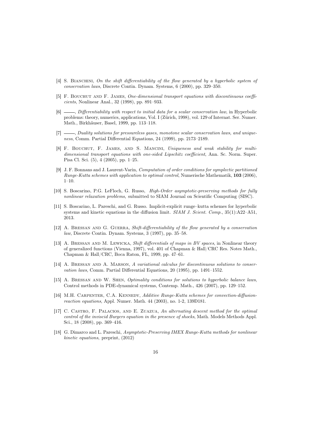- [4] S. BIANCHINI, On the shift differentiability of the flow generated by a hyperbolic system of conservation laws, Discrete Contin. Dynam. Systems, 6 (2000), pp. 329–350.
- [5] F. Bouchut and F. James, One-dimensional transport equations with discontinuous coefficients, Nonlinear Anal., 32 (1998), pp. 891–933.
- [6]  $\_\_\_\$ n Differentiability with respect to initial data for a scalar conservation law, in Hyperbolic problems: theory, numerics, applications, Vol. I (Zürich, 1998), vol. 129 of Internat. Ser. Numer. Math., Birkhäuser, Basel, 1999, pp. 113–118.
- [7]  $\_\_\_\_\_$  Duality solutions for pressureless gases, monotone scalar conservation laws, and uniqueness, Comm. Partial Differential Equations, 24 (1999), pp. 2173–2189.
- [8] F. BOUCHUT, F. JAMES, AND S. MANCINI, Uniqueness and weak stability for multidimensional transport equations with one-sided Lipschitz coefficient, Ann. Sc. Norm. Super. Pisa Cl. Sci. (5), 4 (2005), pp. 1–25.
- [9] J. F. Bonnans and J. Laurent-Varin, Computation of order conditions for symplectic partitioned Runge-Kutta schemes with application to optimal control, Numerische Mathematik, 103 (2006),  $1 - 10$
- [10] S. Boscarino, P.G. LeFloch, G. Russo, High-Order asymptotic-preserving methods for fully nonlinear relaxation problems, submitted to SIAM Journal on Scientific Computing (SISC).
- [11] S. Boscarino, L. Pareschi, and G. Russo. Implicit-explicit runge–kutta schemes for hyperbolic systems and kinetic equations in the diffusion limit.  $SIAM J.$  Scient. Comp., 35(1):A22–A51, 2013.
- [12] A. Bressan and G. Guerra, Shift-differentiability of the flow generated by a conservation law, Discrete Contin. Dynam. Systems, 3 (1997), pp. 35–58.
- [13] A. BRESSAN AND M. LEWICKA, Shift differentials of maps in BV spaces, in Nonlinear theory of generalized functions (Vienna, 1997), vol. 401 of Chapman & Hall/CRC Res. Notes Math., Chapman & Hall/CRC, Boca Raton, FL, 1999, pp. 47–61.
- [14] A. BRESSAN AND A. MARSON, A variational calculus for discontinuous solutions to conservation laws, Comm. Partial Differential Equations, 20 (1995), pp. 1491–1552.
- [15] A. Bressan and W. Shen, Optimality conditions for solutions to hyperbolic balance laws, Control methods in PDE-dynamical systems, Contemp. Math., 426 (2007), pp. 129–152.
- [16] M.H. CARPENTER, C.A. KENNEDY, Additive Runge-Kutta schemes for convection-diffusionreaction equations, Appl. Numer. Math. 44 (2003), no. 1-2, 139Ð181.
- [17] C. Castro, F. Palacios, and E. Zuazua, An alternating descent method for the optimal control of the inviscid Burgers equation in the presence of shocks, Math. Models Methods Appl. Sci., 18 (2008), pp. 369–416.
- [18] G. Dimarco and L. Pareschi, Asymptotic-Preserving IMEX Runge-Kutta methods for nonlinear kinetic equations, preprint, (2012)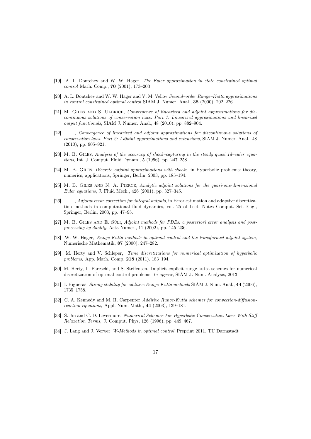- [19] A. L. Dontchev and W. W. Hager The Euler approximation in state constrained optimal control Math. Comp., 70 (2001), 173–203
- [20] A. L. Dontchev and W. W. Hager and V. M. Veliov Second–order Runge–Kutta approximations in control constrained optimal control SIAM J. Numer. Anal., 38 (2000), 202–226
- [21] M. GILES AND S. ULBRICH, Convergence of linearized and adjoint approximations for discontinuous solutions of conservation laws. Part 1: Linearized approximations and linearized output functionals, SIAM J. Numer. Anal., 48 (2010), pp. 882–904.
- [22] , Convergence of linearized and adjoint approximations for discontinuous solutions of conservation laws. Part 2: Adjoint approximations and extensions, SIAM J. Numer. Anal., 48 (2010), pp. 905–921.
- [23] M. B. GILES, Analysis of the accuracy of shock–capturing in the steady quasi 1d–euler equations, Int. J. Comput. Fluid Dynam., 5 (1996), pp. 247–258.
- [24] M. B. GILES, *Discrete adjoint approximations with shocks*, in Hyperbolic problems: theory, numerics, applications, Springer, Berlin, 2003, pp. 185–194.
- [25] M. B. Giles and N. A. Pierce, Analytic adjoint solutions for the quasi-one-dimensional Euler equations, J. Fluid Mech., 426 (2001), pp. 327–345.
- [26]  $\_\_\_\$  Adjoint error correction for integral outputs, in Error estimation and adaptive discretization methods in computational fluid dynamics, vol. 25 of Lect. Notes Comput. Sci. Eng., Springer, Berlin, 2003, pp. 47–95.
- [27] M. B. Giles and E. Süli, Adjoint methods for PDEs: a posteriori error analysis and postprocessing by duality, Acta Numer., 11 (2002), pp. 145–236.
- [28] W. W. Hager, Runge-Kutta methods in optimal control and the transformed adjoint system, Numerische Mathematik, 87 (2000), 247–282.
- [29] M. Herty and V. Schleper, Time discretizations for numerical optimization of hyperbolic problems, App. Math. Comp. 218 (2011), 183–194.
- [30] M. Herty, L. Pareschi, and S. Steffensen. Implicit-explicit runge-kutta schemes for numerical discretization of optimal control problems. to appear, SIAM J. Num. Analysis, 2013
- [31] I. Higueras, *Strong stability for additive Runge-Kutta methods* SIAM J. Num. Anal., 44 (2006), 1735–1758.
- [32] C. A. Kennedy and M. H. Carpenter Additive Runge-Kutta schemes for convection-diffusionreaction equations, Appl. Num. Math., 44 (2003), 139–181.
- [33] S. Jin and C. D. Levermore, Numerical Schemes For Hyperbolic Conservation Laws With Stiff Relaxation Terms, J. Comput. Phys, 126 (1996), pp. 449–467.
- [34] J. Lang and J. Verwer W-Methods in optimal control Preprint 2011, TU Darmstadt
	- 17